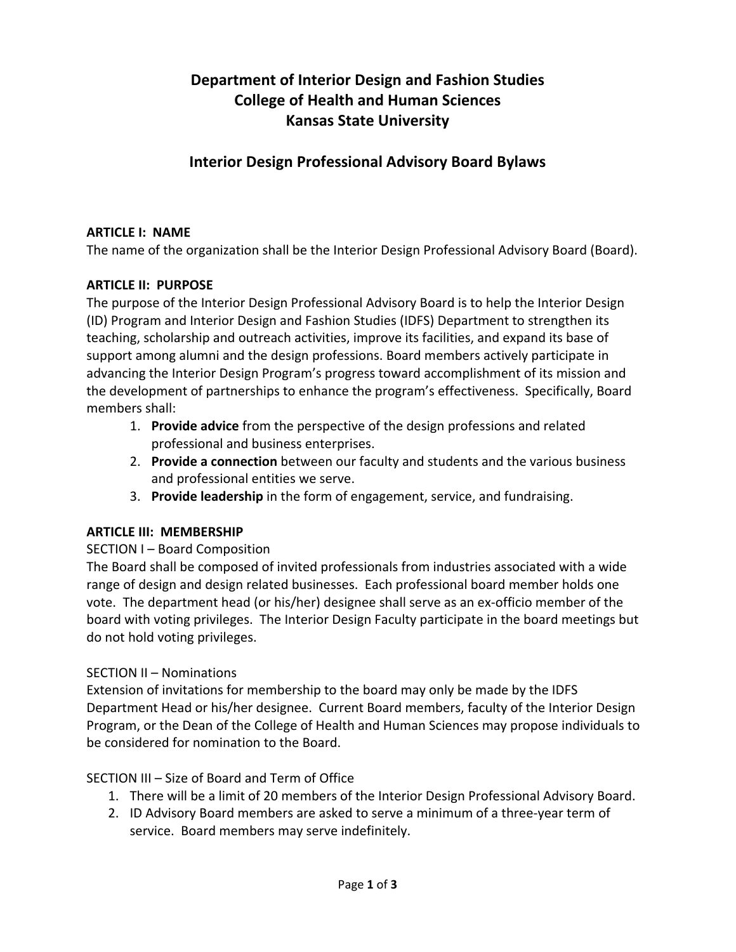# **Department of Interior Design and Fashion Studies College of Health and Human Sciences Kansas State University**

## **Interior Design Professional Advisory Board Bylaws**

#### **ARTICLE I: NAME**

The name of the organization shall be the Interior Design Professional Advisory Board (Board).

#### **ARTICLE II: PURPOSE**

The purpose of the Interior Design Professional Advisory Board is to help the Interior Design (ID) Program and Interior Design and Fashion Studies (IDFS) Department to strengthen its teaching, scholarship and outreach activities, improve its facilities, and expand its base of support among alumni and the design professions. Board members actively participate in advancing the Interior Design Program's progress toward accomplishment of its mission and the development of partnerships to enhance the program's effectiveness. Specifically, Board members shall:

- 1. **Provide advice** from the perspective of the design professions and related professional and business enterprises.
- 2. **Provide a connection** between our faculty and students and the various business and professional entities we serve.
- 3. **Provide leadership** in the form of engagement, service, and fundraising.

### **ARTICLE III: MEMBERSHIP**

#### SECTION I – Board Composition

The Board shall be composed of invited professionals from industries associated with a wide range of design and design related businesses. Each professional board member holds one vote. The department head (or his/her) designee shall serve as an ex-officio member of the board with voting privileges. The Interior Design Faculty participate in the board meetings but do not hold voting privileges.

#### SECTION II – Nominations

Extension of invitations for membership to the board may only be made by the IDFS Department Head or his/her designee. Current Board members, faculty of the Interior Design Program, or the Dean of the College of Health and Human Sciences may propose individuals to be considered for nomination to the Board.

SECTION III – Size of Board and Term of Office

- 1. There will be a limit of 20 members of the Interior Design Professional Advisory Board.
- 2. ID Advisory Board members are asked to serve a minimum of a three-year term of service. Board members may serve indefinitely.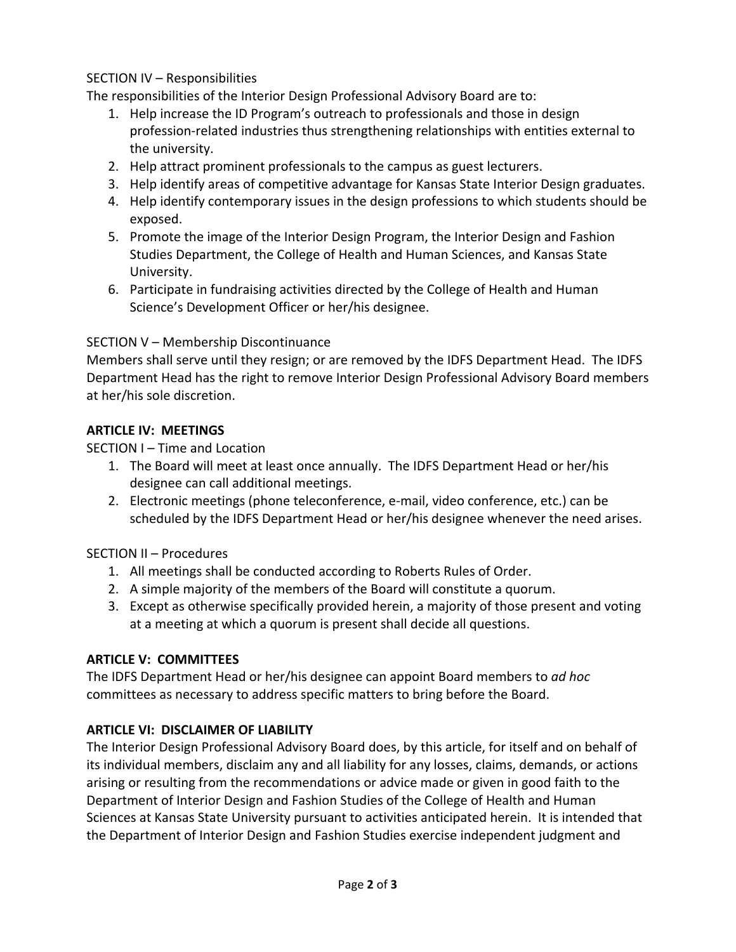## SECTION IV – Responsibilities

The responsibilities of the Interior Design Professional Advisory Board are to:

- 1. Help increase the ID Program's outreach to professionals and those in design profession-related industries thus strengthening relationships with entities external to the university.
- 2. Help attract prominent professionals to the campus as guest lecturers.
- 3. Help identify areas of competitive advantage for Kansas State Interior Design graduates.
- 4. Help identify contemporary issues in the design professions to which students should be exposed.
- 5. Promote the image of the Interior Design Program, the Interior Design and Fashion Studies Department, the College of Health and Human Sciences, and Kansas State University.
- 6. Participate in fundraising activities directed by the College of Health and Human Science's Development Officer or her/his designee.

### SECTION V – Membership Discontinuance

Members shall serve until they resign; or are removed by the IDFS Department Head. The IDFS Department Head has the right to remove Interior Design Professional Advisory Board members at her/his sole discretion.

### **ARTICLE IV: MEETINGS**

## SECTION I – Time and Location

- 1. The Board will meet at least once annually. The IDFS Department Head or her/his designee can call additional meetings.
- 2. Electronic meetings (phone teleconference, e-mail, video conference, etc.) can be scheduled by the IDFS Department Head or her/his designee whenever the need arises.

### SECTION II – Procedures

- 1. All meetings shall be conducted according to Roberts Rules of Order.
- 2. A simple majority of the members of the Board will constitute a quorum.
- 3. Except as otherwise specifically provided herein, a majority of those present and voting at a meeting at which a quorum is present shall decide all questions.

### **ARTICLE V: COMMITTEES**

The IDFS Department Head or her/his designee can appoint Board members to *ad hoc* committees as necessary to address specific matters to bring before the Board.

## **ARTICLE VI: DISCLAIMER OF LIABILITY**

The Interior Design Professional Advisory Board does, by this article, for itself and on behalf of its individual members, disclaim any and all liability for any losses, claims, demands, or actions arising or resulting from the recommendations or advice made or given in good faith to the Department of Interior Design and Fashion Studies of the College of Health and Human Sciences at Kansas State University pursuant to activities anticipated herein. It is intended that the Department of Interior Design and Fashion Studies exercise independent judgment and